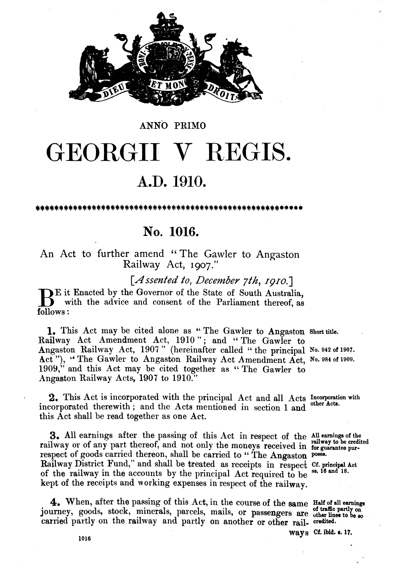

#### ANNO PRIMO

# GEORGII V REGIS.

## **A.D. 1910.**

## **No. 1016.**

An Act to further amend "The Gawler to Angaston Railway Act, **1907."** 

*[Assented* to, *December 7th,* **1910.1** 

BE it Enacted by the Governor of the State of South Australia,<br>with the advice and consent of the Parliament thereof, as<br>follows: with the advice and consent of the Parliament thereof, as follows :

1. This Act may be cited alone as "The Gawler to Angaston Short title. Railway Act Amendment Act, 1910"; and "The Gawler to Angaston Railway Act, 1907" (hereinafter called "the principal No. 942 of 1907. Act"), "The Gawler to Angaston Railway Act Amendment Act, No. 984 of 1909. 1909," and this Act may be cited together as " The Gawler to Angaston Railway Acts, **1907** to **1910."** 

**2.** This Act is incorporated with the principal Act and all Acts Incorporation with corporated therewith and the Acts mentioned in the left acts. incorporated therewith; and the Acts mentioned in section 1 and this Act shall be read together as one Act.

**3.** All earnings after the passing of this Act in respect of the **All earnings** of the railway or of any part thereof, and not only the moneys received in **for guarantee pur**respect of goods carried thereon, shall be carried to "The Angaston poses. Railway District Fund," and shall be treated as receipts in respect Cf. principal Act of the religious in the accounts by the principal Act **required** to be <sup>88, 16</sup> and 18. of the railway in the accounts by the principal Act required to be kept of the receipts and working expenses in respect of the railway.

4. When, after the passing of this Act, in the course of the same Half of all earnings journey, goods, stock, minerals, parcels, mails, or passengers are of traffic partly on carried partly on the railway and partly on ano

 $ways$  Cf. *ibid.* **a.** 17.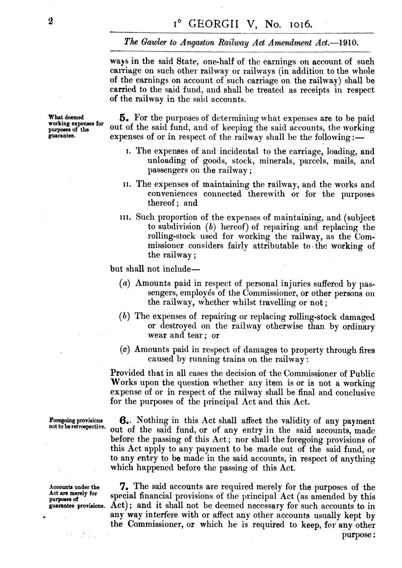#### The Gawler to Angaston Railway Act Amendment Act.-1910.

ways in the said State, one-half of the earnings on account of such carriage on such other railway or railways (in addition to the whole of the earnings on account of such carriage on the railway) shall be carried to the said fund, and shall be treated as receipts in respect of the railway in the said accounts.

What deemed **5.** For the purposes of determining what expenses are to be paid vorking expenses for out of the said fund, and of keeping the said accounts, the working **Polymous** of the said fund, and of keeping the said accounts, the working purposes of the said accounts of the relations of  $\mathbb{R}^n$ expenses of or in respect of the railway shall be the following :-

- J. The expemes of and incidental to the carriage, loading, and unloading of goods, stock, minerals, parcels, mails, and passengers on the railway ;
- **11.** The expenses of maintaining the railway, and the works and conveniences connected therewith or for the purposes thereof; and
- **111.** Such proportion of the expenses of maintaining, and (subject to subdivision *(b)* hereof) of repairing and replacing the rolling-stock used for working the railway, as the Commissioner considers fairly attributable to the working of the railway ;

but shall not include—

- *(a)* Amounts paid in respect of personal injuries suffered by passengers, employés of the Commissioner, or other persons on the railway, whether whilst travelling or not ;
- *(h)* The expenses of repairing or replacing rolling-stock damaged or destroyed on the railway otherwise than by ordinary wear and tear; or
- (c) Amounts paid in respect of damages to property through fires caused by running trains on the railway :

Provided that in all cases the decision of the Commissioner of Public Works upon the question whether any item is or is not a working expense of or in respect of the railway shall be final and conclusive for the purposes of the principal Act and this Act.

**purpoees of** 

 $\label{eq:1} \mathcal{D}_{\mathcal{C}}(\mathbf{y}) = \frac{1}{\sqrt{2\pi}} \sum_{\mathbf{y} \in \mathcal{C}} \mathcal{D}_{\mathcal{C}}(\mathbf{y})$ 

**Foregoing provisions 6.** Nothing in this Act shall affect the validity of any payment not to be retrospective. out of the said fund, or of any entry in the said accounts, made before the passing of this Act ; nor shall the foregoing provisions of this Act apply to any payment to be made out of the said fund, or to any entry to be made in the said accounts, in respect of anything which happened before the passing of this Act.

Accounts under the **7.** The said accounts are required merely for the purposes of the Act are merely for special for provisions of the purpose  $\mathbf{A}$  at (as amonded by this special financial provisions of the principal Act (as amended by this Act); and it shall not be deemed necessary for such accounts to in any way interfere with or affect any other accounts usually kept by the Commissioner, or which he is required to keep, **for** any other purpose :